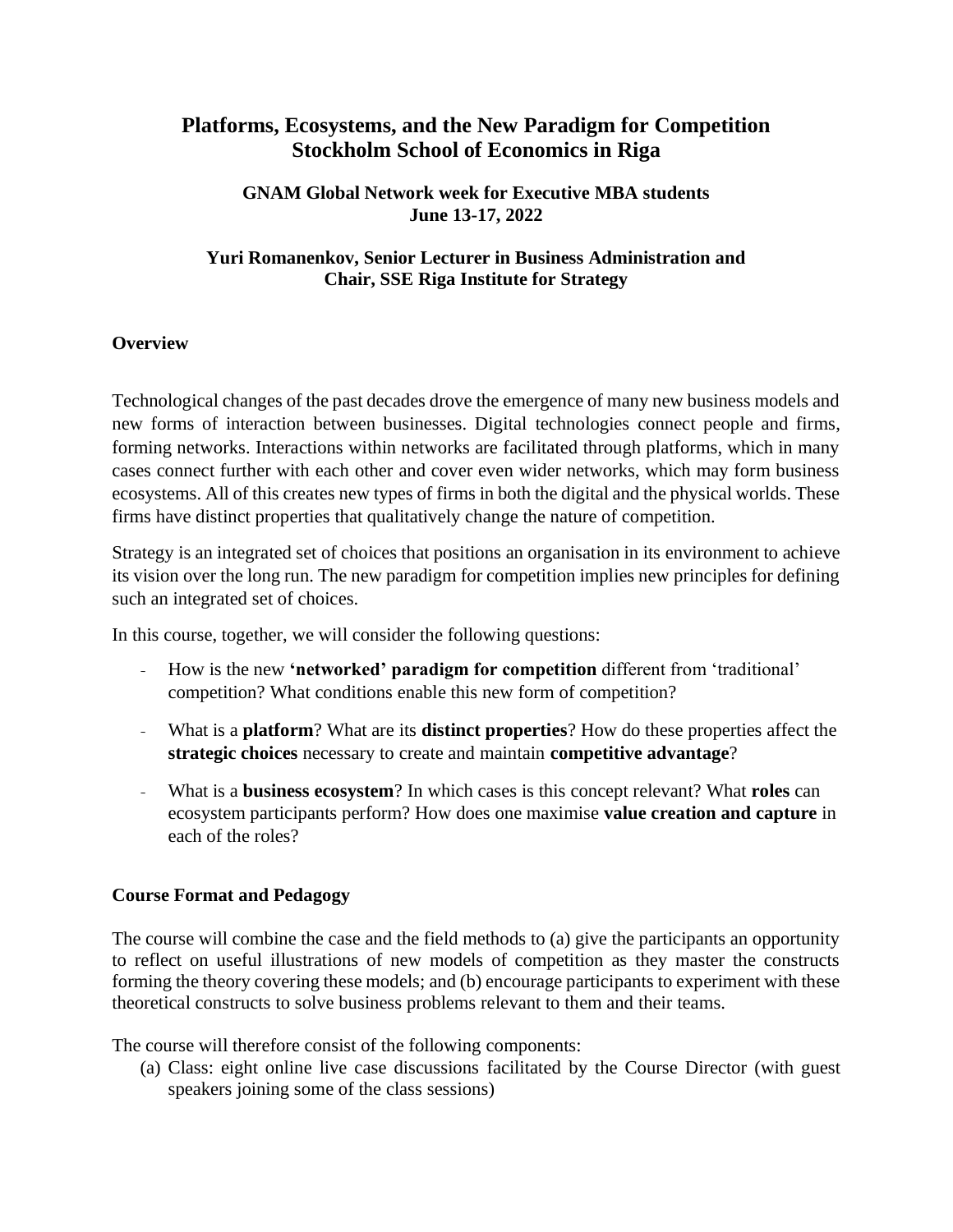# **Platforms, Ecosystems, and the New Paradigm for Competition Stockholm School of Economics in Riga**

#### **GNAM Global Network week for Executive MBA students June 13-17, 2022**

#### **Yuri Romanenkov, Senior Lecturer in Business Administration and Chair, SSE Riga Institute for Strategy**

#### **Overview**

Technological changes of the past decades drove the emergence of many new business models and new forms of interaction between businesses. Digital technologies connect people and firms, forming networks. Interactions within networks are facilitated through platforms, which in many cases connect further with each other and cover even wider networks, which may form business ecosystems. All of this creates new types of firms in both the digital and the physical worlds. These firms have distinct properties that qualitatively change the nature of competition.

Strategy is an integrated set of choices that positions an organisation in its environment to achieve its vision over the long run. The new paradigm for competition implies new principles for defining such an integrated set of choices.

In this course, together, we will consider the following questions:

- How is the new **'networked' paradigm for competition** different from 'traditional' competition? What conditions enable this new form of competition?
- What is a **platform**? What are its **distinct properties**? How do these properties affect the **strategic choices** necessary to create and maintain **competitive advantage**?
- What is a **business ecosystem**? In which cases is this concept relevant? What **roles** can ecosystem participants perform? How does one maximise **value creation and capture** in each of the roles?

#### **Course Format and Pedagogy**

The course will combine the case and the field methods to (a) give the participants an opportunity to reflect on useful illustrations of new models of competition as they master the constructs forming the theory covering these models; and (b) encourage participants to experiment with these theoretical constructs to solve business problems relevant to them and their teams.

The course will therefore consist of the following components:

(a) Class: eight online live case discussions facilitated by the Course Director (with guest speakers joining some of the class sessions)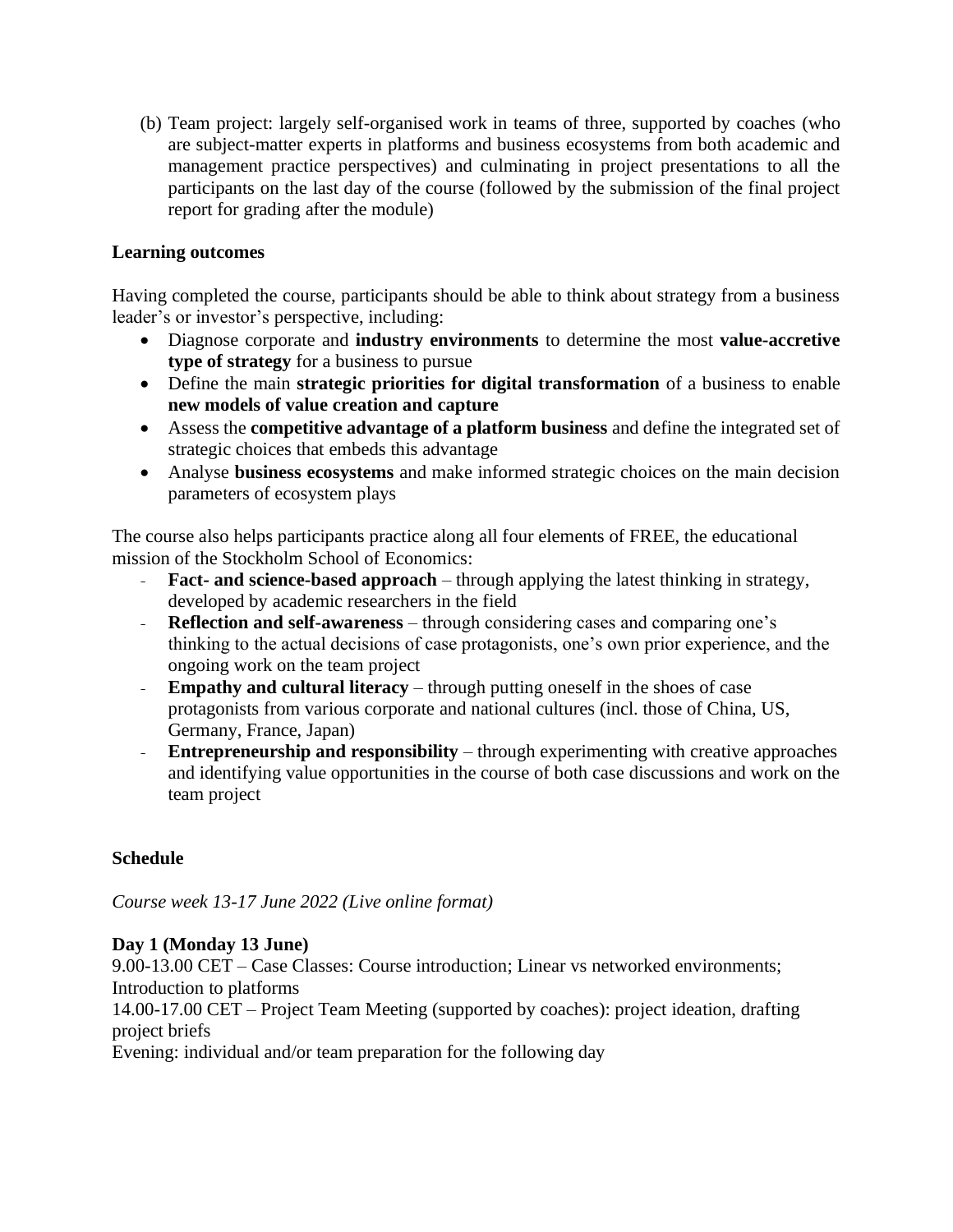(b) Team project: largely self-organised work in teams of three, supported by coaches (who are subject-matter experts in platforms and business ecosystems from both academic and management practice perspectives) and culminating in project presentations to all the participants on the last day of the course (followed by the submission of the final project report for grading after the module)

#### **Learning outcomes**

Having completed the course, participants should be able to think about strategy from a business leader's or investor's perspective, including:

- Diagnose corporate and **industry environments** to determine the most **value-accretive type of strategy** for a business to pursue
- Define the main **strategic priorities for digital transformation** of a business to enable **new models of value creation and capture**
- Assess the **competitive advantage of a platform business** and define the integrated set of strategic choices that embeds this advantage
- Analyse **business ecosystems** and make informed strategic choices on the main decision parameters of ecosystem plays

The course also helps participants practice along all four elements of FREE, the educational mission of the Stockholm School of Economics:

- **Fact- and science-based approach**  through applying the latest thinking in strategy, developed by academic researchers in the field
- **Reflection and self-awareness** through considering cases and comparing one's thinking to the actual decisions of case protagonists, one's own prior experience, and the ongoing work on the team project
- **Empathy and cultural literacy**  through putting oneself in the shoes of case protagonists from various corporate and national cultures (incl. those of China, US, Germany, France, Japan)
- **Entrepreneurship and responsibility** through experimenting with creative approaches and identifying value opportunities in the course of both case discussions and work on the team project

## **Schedule**

*Course week 13-17 June 2022 (Live online format)*

#### **Day 1 (Monday 13 June)**

9.00-13.00 CET – Case Classes: Course introduction; Linear vs networked environments; Introduction to platforms 14.00-17.00 CET – Project Team Meeting (supported by coaches): project ideation, drafting project briefs Evening: individual and/or team preparation for the following day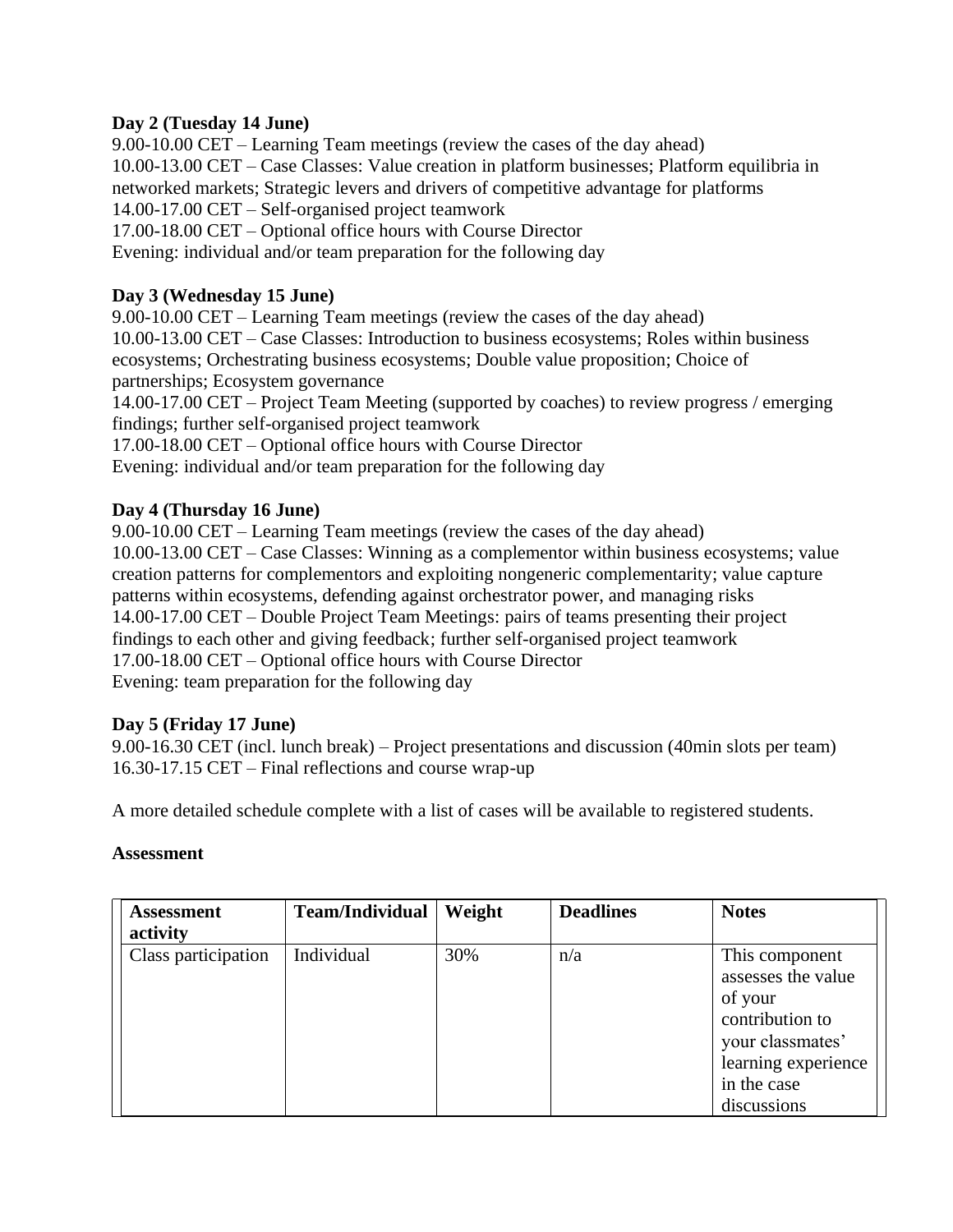#### **Day 2 (Tuesday 14 June)**

9.00-10.00 CET – Learning Team meetings (review the cases of the day ahead) 10.00-13.00 CET – Case Classes: Value creation in platform businesses; Platform equilibria in networked markets; Strategic levers and drivers of competitive advantage for platforms 14.00-17.00 CET – Self-organised project teamwork 17.00-18.00 CET – Optional office hours with Course Director Evening: individual and/or team preparation for the following day

### **Day 3 (Wednesday 15 June)**

9.00-10.00 CET – Learning Team meetings (review the cases of the day ahead) 10.00-13.00 CET – Case Classes: Introduction to business ecosystems; Roles within business ecosystems; Orchestrating business ecosystems; Double value proposition; Choice of partnerships; Ecosystem governance

14.00-17.00 CET – Project Team Meeting (supported by coaches) to review progress / emerging findings; further self-organised project teamwork

17.00-18.00 CET – Optional office hours with Course Director Evening: individual and/or team preparation for the following day

# **Day 4 (Thursday 16 June)**

9.00-10.00 CET – Learning Team meetings (review the cases of the day ahead) 10.00-13.00 CET – Case Classes: Winning as a complementor within business ecosystems; value creation patterns for complementors and exploiting nongeneric complementarity; value capture patterns within ecosystems, defending against orchestrator power, and managing risks 14.00-17.00 CET – Double Project Team Meetings: pairs of teams presenting their project findings to each other and giving feedback; further self-organised project teamwork 17.00-18.00 CET – Optional office hours with Course Director Evening: team preparation for the following day

#### **Day 5 (Friday 17 June)**

9.00-16.30 CET (incl. lunch break) – Project presentations and discussion (40min slots per team) 16.30-17.15 CET – Final reflections and course wrap-up

A more detailed schedule complete with a list of cases will be available to registered students.

#### **Assessment**

| <b>Assessment</b>   | <b>Team/Individual</b> | Weight | <b>Deadlines</b> | <b>Notes</b>                                                                                                                 |
|---------------------|------------------------|--------|------------------|------------------------------------------------------------------------------------------------------------------------------|
| activity            |                        |        |                  |                                                                                                                              |
| Class participation | Individual             | 30%    | n/a              | This component<br>assesses the value<br>of your<br>contribution to<br>your classmates'<br>learning experience<br>in the case |
|                     |                        |        |                  | discussions                                                                                                                  |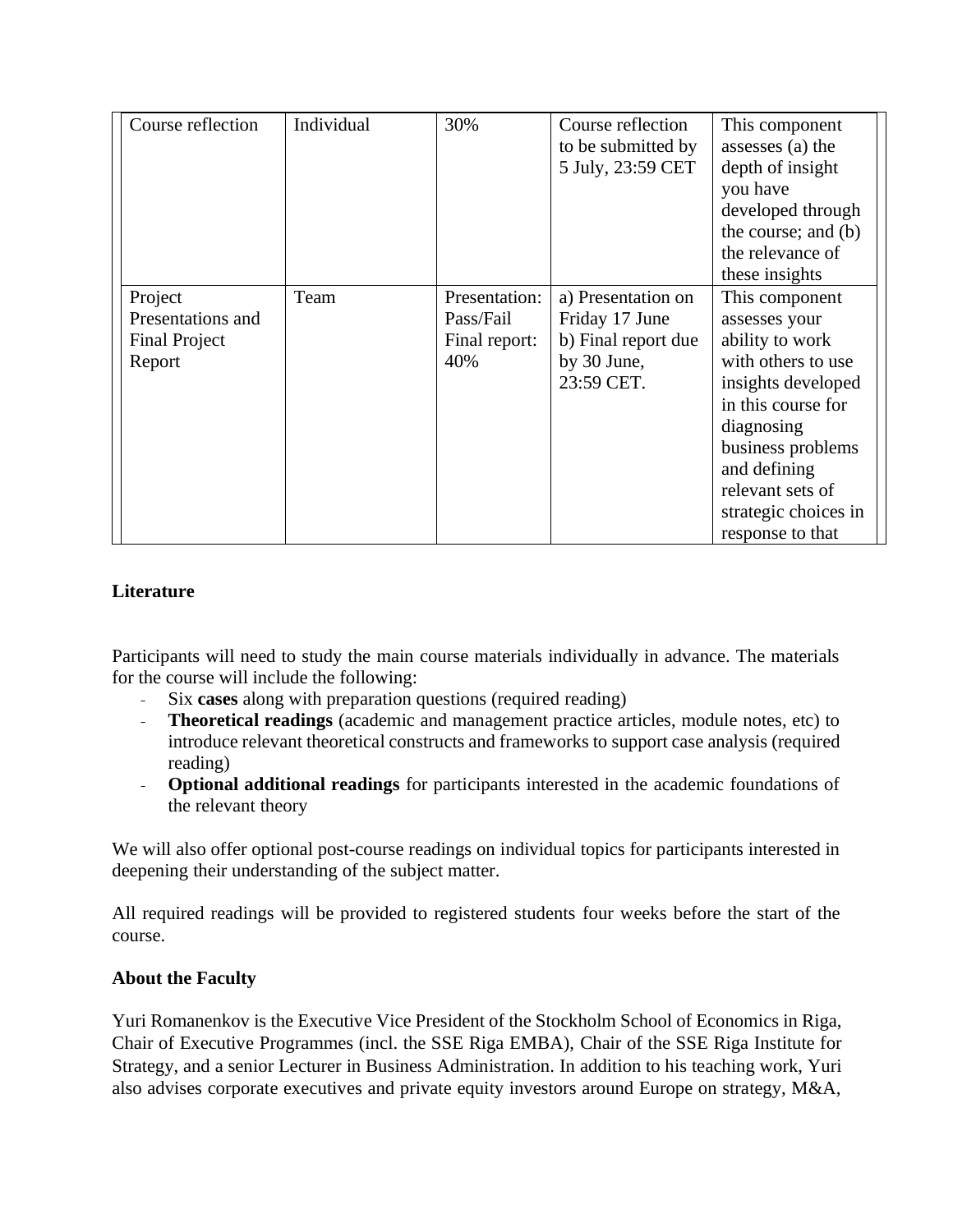| Course reflection                                              | Individual | 30%                                                | Course reflection<br>to be submitted by<br>5 July, 23:59 CET                             | This component<br>assesses (a) the<br>depth of insight<br>you have<br>developed through<br>the course; and (b)<br>the relevance of<br>these insights                                                                                    |
|----------------------------------------------------------------|------------|----------------------------------------------------|------------------------------------------------------------------------------------------|-----------------------------------------------------------------------------------------------------------------------------------------------------------------------------------------------------------------------------------------|
| Project<br>Presentations and<br><b>Final Project</b><br>Report | Team       | Presentation:<br>Pass/Fail<br>Final report:<br>40% | a) Presentation on<br>Friday 17 June<br>b) Final report due<br>by 30 June,<br>23:59 CET. | This component<br>assesses your<br>ability to work<br>with others to use<br>insights developed<br>in this course for<br>diagnosing<br>business problems<br>and defining<br>relevant sets of<br>strategic choices in<br>response to that |

### **Literature**

Participants will need to study the main course materials individually in advance. The materials for the course will include the following:

- Six **cases** along with preparation questions (required reading)
- **Theoretical readings** (academic and management practice articles, module notes, etc) to introduce relevant theoretical constructs and frameworks to support case analysis (required reading)
- **Optional additional readings** for participants interested in the academic foundations of the relevant theory

We will also offer optional post-course readings on individual topics for participants interested in deepening their understanding of the subject matter.

All required readings will be provided to registered students four weeks before the start of the course.

#### **About the Faculty**

Yuri Romanenkov is the Executive Vice President of the Stockholm School of Economics in Riga, Chair of Executive Programmes (incl. the SSE Riga EMBA), Chair of the SSE Riga Institute for Strategy, and a senior Lecturer in Business Administration. In addition to his teaching work, Yuri also advises corporate executives and private equity investors around Europe on strategy, M&A,